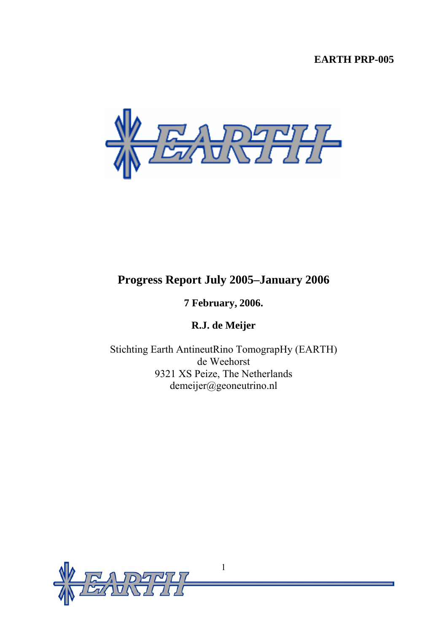# **EARTH PRP-005**



# **Progress Report July 2005–January 2006**

# **7 February, 2006.**

**R.J. de Meijer** 

Stichting Earth AntineutRino TomograpHy (EARTH) de Weehorst 9321 XS Peize, The Netherlands demeijer@geoneutrino.nl

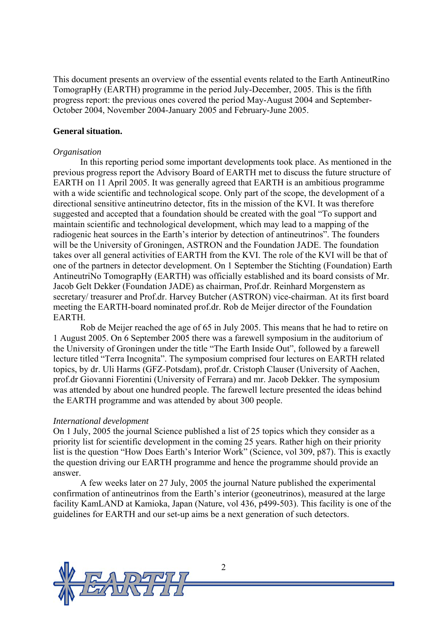This document presents an overview of the essential events related to the Earth AntineutRino TomograpHy (EARTH) programme in the period July-December, 2005. This is the fifth progress report: the previous ones covered the period May-August 2004 and September-October 2004, November 2004-January 2005 and February-June 2005.

#### **General situation.**

#### *Organisation*

In this reporting period some important developments took place. As mentioned in the previous progress report the Advisory Board of EARTH met to discuss the future structure of EARTH on 11 April 2005. It was generally agreed that EARTH is an ambitious programme with a wide scientific and technological scope. Only part of the scope, the development of a directional sensitive antineutrino detector, fits in the mission of the KVI. It was therefore suggested and accepted that a foundation should be created with the goal "To support and maintain scientific and technological development, which may lead to a mapping of the radiogenic heat sources in the Earth's interior by detection of antineutrinos". The founders will be the University of Groningen, ASTRON and the Foundation JADE. The foundation takes over all general activities of EARTH from the KVI. The role of the KVI will be that of one of the partners in detector development. On 1 September the Stichting (Foundation) Earth AntineutriNo TomograpHy (EARTH) was officially established and its board consists of Mr. Jacob Gelt Dekker (Foundation JADE) as chairman, Prof.dr. Reinhard Morgenstern as secretary/ treasurer and Prof.dr. Harvey Butcher (ASTRON) vice-chairman. At its first board meeting the EARTH-board nominated prof.dr. Rob de Meijer director of the Foundation **EARTH** 

Rob de Meijer reached the age of 65 in July 2005. This means that he had to retire on 1 August 2005. On 6 September 2005 there was a farewell symposium in the auditorium of the University of Groningen under the title "The Earth Inside Out", followed by a farewell lecture titled "Terra Incognita". The symposium comprised four lectures on EARTH related topics, by dr. Uli Harms (GFZ-Potsdam), prof.dr. Cristoph Clauser (University of Aachen, prof.dr Giovanni Fiorentini (University of Ferrara) and mr. Jacob Dekker. The symposium was attended by about one hundred people. The farewell lecture presented the ideas behind the EARTH programme and was attended by about 300 people.

#### *International development*

On 1 July, 2005 the journal Science published a list of 25 topics which they consider as a priority list for scientific development in the coming 25 years. Rather high on their priority list is the question "How Does Earth's Interior Work" (Science, vol 309, p87). This is exactly the question driving our EARTH programme and hence the programme should provide an answer.

A few weeks later on 27 July, 2005 the journal Nature published the experimental confirmation of antineutrinos from the Earth's interior (geoneutrinos), measured at the large facility KamLAND at Kamioka, Japan (Nature, vol 436, p499-503). This facility is one of the guidelines for EARTH and our set-up aims be a next generation of such detectors.

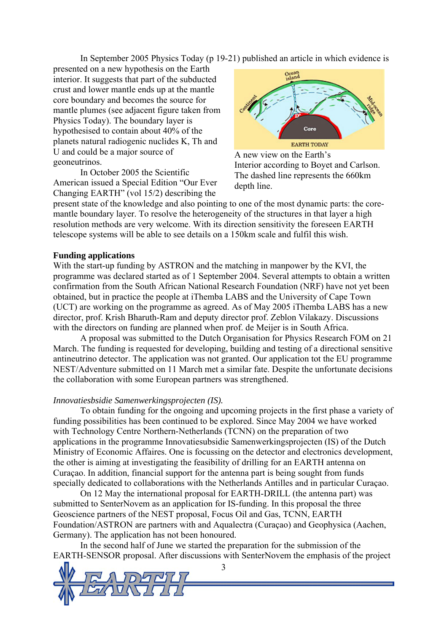In September 2005 Physics Today (p 19-21) published an article in which evidence is

presented on a new hypothesis on the Earth interior. It suggests that part of the subducted crust and lower mantle ends up at the mantle core boundary and becomes the source for mantle plumes (see adjacent figure taken from Physics Today). The boundary layer is hypothesised to contain about 40% of the planets natural radiogenic nuclides K, Th and U and could be a major source of geoneutrinos.

In October 2005 the Scientific American issued a Special Edition "Our Ever Changing EARTH" (vol 15/2) describing the



A new view on the Earth's Interior according to Boyet and Carlson. The dashed line represents the 660km depth line.

present state of the knowledge and also pointing to one of the most dynamic parts: the coremantle boundary layer. To resolve the heterogeneity of the structures in that layer a high resolution methods are very welcome. With its direction sensitivity the foreseen EARTH telescope systems will be able to see details on a 150km scale and fulfil this wish.

#### **Funding applications**

With the start-up funding by ASTRON and the matching in manpower by the KVI, the programme was declared started as of 1 September 2004. Several attempts to obtain a written confirmation from the South African National Research Foundation (NRF) have not yet been obtained, but in practice the people at iThemba LABS and the University of Cape Town (UCT) are working on the programme as agreed. As of May 2005 iThemba LABS has a new director, prof. Krish Bharuth-Ram and deputy director prof. Zeblon Vilakazy. Discussions with the directors on funding are planned when prof. de Meijer is in South Africa.

A proposal was submitted to the Dutch Organisation for Physics Research FOM on 21 March. The funding is requested for developing, building and testing of a directional sensitive antineutrino detector. The application was not granted. Our application tot the EU programme NEST/Adventure submitted on 11 March met a similar fate. Despite the unfortunate decisions the collaboration with some European partners was strengthened.

#### *Innovatiesbsidie Samenwerkingsprojecten (IS).*

To obtain funding for the ongoing and upcoming projects in the first phase a variety of funding possibilities has been continued to be explored. Since May 2004 we have worked with Technology Centre Northern-Netherlands (TCNN) on the preparation of two applications in the programme Innovatiesubsidie Samenwerkingsprojecten (IS) of the Dutch Ministry of Economic Affaires. One is focussing on the detector and electronics development, the other is aiming at investigating the feasibility of drilling for an EARTH antenna on Curaçao. In addition, financial support for the antenna part is being sought from funds specially dedicated to collaborations with the Netherlands Antilles and in particular Curaçao.

On 12 May the international proposal for EARTH-DRILL (the antenna part) was submitted to SenterNovem as an application for IS-funding. In this proposal the three Geoscience partners of the NEST proposal, Focus Oil and Gas, TCNN, EARTH Foundation/ASTRON are partners with and Aqualectra (Curaçao) and Geophysica (Aachen, Germany). The application has not been honoured.

In the second half of June we started the preparation for the submission of the EARTH-SENSOR proposal. After discussions with SenterNovem the emphasis of the project

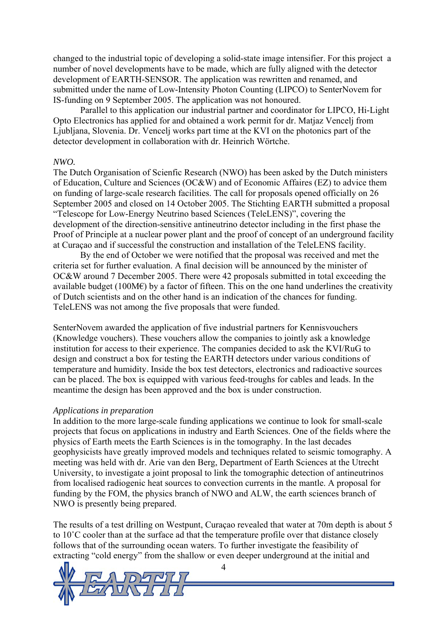changed to the industrial topic of developing a solid-state image intensifier. For this project a number of novel developments have to be made, which are fully aligned with the detector development of EARTH-SENSOR. The application was rewritten and renamed, and submitted under the name of Low-Intensity Photon Counting (LIPCO) to SenterNovem for IS-funding on 9 September 2005. The application was not honoured.

Parallel to this application our industrial partner and coordinator for LIPCO, Hi-Light Opto Electronics has applied for and obtained a work permit for dr. Matjaz Vencelj from Ljubljana, Slovenia. Dr. Vencelj works part time at the KVI on the photonics part of the detector development in collaboration with dr. Heinrich Wörtche.

#### *NWO.*

The Dutch Organisation of Scienfic Research (NWO) has been asked by the Dutch ministers of Education, Culture and Sciences (OC&W) and of Economic Affaires (EZ) to advice them on funding of large-scale research facilities. The call for proposals opened officially on 26 September 2005 and closed on 14 October 2005. The Stichting EARTH submitted a proposal "Telescope for Low-Energy Neutrino based Sciences (TeleLENS)", covering the development of the direction-sensitive antineutrino detector including in the first phase the Proof of Principle at a nuclear power plant and the proof of concept of an underground facility at Curaçao and if successful the construction and installation of the TeleLENS facility.

By the end of October we were notified that the proposal was received and met the criteria set for further evaluation. A final decision will be announced by the minister of OC&W around 7 December 2005. There were 42 proposals submitted in total exceeding the available budget (100M $\epsilon$ ) by a factor of fifteen. This on the one hand underlines the creativity of Dutch scientists and on the other hand is an indication of the chances for funding. TeleLENS was not among the five proposals that were funded.

SenterNovem awarded the application of five industrial partners for Kennisvouchers (Knowledge vouchers). These vouchers allow the companies to jointly ask a knowledge institution for access to their experience. The companies decided to ask the KVI/RuG to design and construct a box for testing the EARTH detectors under various conditions of temperature and humidity. Inside the box test detectors, electronics and radioactive sources can be placed. The box is equipped with various feed-troughs for cables and leads. In the meantime the design has been approved and the box is under construction.

#### *Applications in preparation*

In addition to the more large-scale funding applications we continue to look for small-scale projects that focus on applications in industry and Earth Sciences. One of the fields where the physics of Earth meets the Earth Sciences is in the tomography. In the last decades geophysicists have greatly improved models and techniques related to seismic tomography. A meeting was held with dr. Arie van den Berg, Department of Earth Sciences at the Utrecht University, to investigate a joint proposal to link the tomographic detection of antineutrinos from localised radiogenic heat sources to convection currents in the mantle. A proposal for funding by the FOM, the physics branch of NWO and ALW, the earth sciences branch of NWO is presently being prepared.

The results of a test drilling on Westpunt, Curaçao revealed that water at 70m depth is about 5 to 10˚C cooler than at the surface ad that the temperature profile over that distance closely follows that of the surrounding ocean waters. To further investigate the feasibility of extracting "cold energy" from the shallow or even deeper underground at the initial and

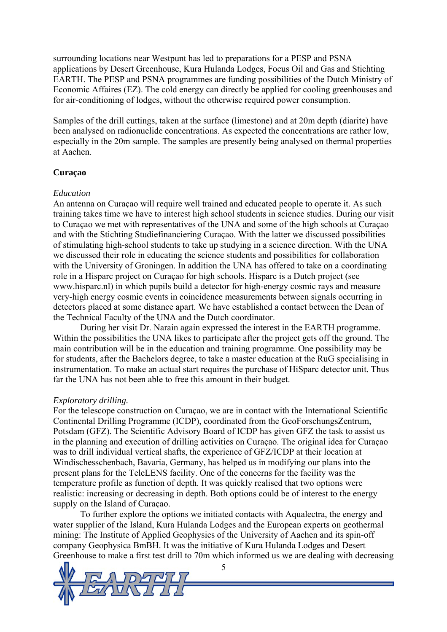surrounding locations near Westpunt has led to preparations for a PESP and PSNA applications by Desert Greenhouse, Kura Hulanda Lodges, Focus Oil and Gas and Stichting EARTH. The PESP and PSNA programmes are funding possibilities of the Dutch Ministry of Economic Affaires (EZ). The cold energy can directly be applied for cooling greenhouses and for air-conditioning of lodges, without the otherwise required power consumption.

Samples of the drill cuttings, taken at the surface (limestone) and at 20m depth (diarite) have been analysed on radionuclide concentrations. As expected the concentrations are rather low, especially in the 20m sample. The samples are presently being analysed on thermal properties at Aachen.

#### **Curaçao**

#### *Education*

An antenna on Curaçao will require well trained and educated people to operate it. As such training takes time we have to interest high school students in science studies. During our visit to Curaçao we met with representatives of the UNA and some of the high schools at Curaçao and with the Stichting Studiefinanciering Curaçao. With the latter we discussed possibilities of stimulating high-school students to take up studying in a science direction. With the UNA we discussed their role in educating the science students and possibilities for collaboration with the University of Groningen. In addition the UNA has offered to take on a coordinating role in a Hisparc project on Curaçao for high schools. Hisparc is a Dutch project (see www.hisparc.nl) in which pupils build a detector for high-energy cosmic rays and measure very-high energy cosmic events in coincidence measurements between signals occurring in detectors placed at some distance apart. We have established a contact between the Dean of the Technical Faculty of the UNA and the Dutch coordinator.

During her visit Dr. Narain again expressed the interest in the EARTH programme. Within the possibilities the UNA likes to participate after the project gets off the ground. The main contribution will be in the education and training programme. One possibility may be for students, after the Bachelors degree, to take a master education at the RuG specialising in instrumentation. To make an actual start requires the purchase of HiSparc detector unit. Thus far the UNA has not been able to free this amount in their budget.

### *Exploratory drilling.*

For the telescope construction on Curaçao, we are in contact with the International Scientific Continental Drilling Programme (ICDP), coordinated from the GeoForschungsZentrum, Potsdam (GFZ). The Scientific Advisory Board of ICDP has given GFZ the task to assist us in the planning and execution of drilling activities on Curaçao. The original idea for Curaçao was to drill individual vertical shafts, the experience of GFZ/ICDP at their location at Windischesschenbach, Bavaria, Germany, has helped us in modifying our plans into the present plans for the TeleLENS facility. One of the concerns for the facility was the temperature profile as function of depth. It was quickly realised that two options were realistic: increasing or decreasing in depth. Both options could be of interest to the energy supply on the Island of Curaçao.

To further explore the options we initiated contacts with Aqualectra, the energy and water supplier of the Island, Kura Hulanda Lodges and the European experts on geothermal mining: The Institute of Applied Geophysics of the University of Aachen and its spin-off company Geophysica BmBH. It was the initiative of Kura Hulanda Lodges and Desert Greenhouse to make a first test drill to 70m which informed us we are dealing with decreasing

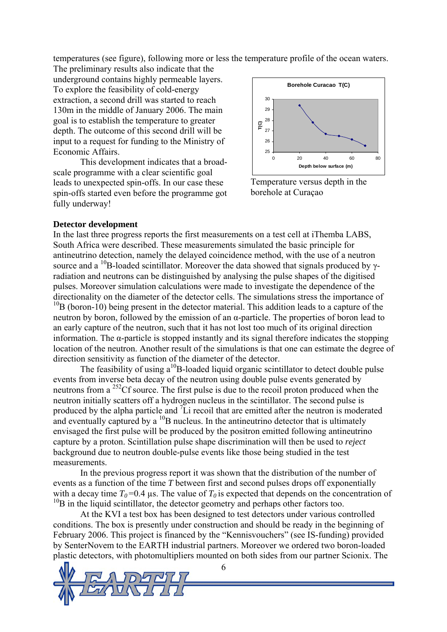temperatures (see figure), following more or less the temperature profile of the ocean waters.

The preliminary results also indicate that the underground contains highly permeable layers. To explore the feasibility of cold-energy extraction, a second drill was started to reach 130m in the middle of January 2006. The main goal is to establish the temperature to greater depth. The outcome of this second drill will be input to a request for funding to the Ministry of Economic Affairs.

This development indicates that a broadscale programme with a clear scientific goal leads to unexpected spin-offs. In our case these spin-offs started even before the programme got fully underway!



Temperature versus depth in the borehole at Curaçao

#### **Detector development**

In the last three progress reports the first measurements on a test cell at iThemba LABS, South Africa were described. These measurements simulated the basic principle for antineutrino detection, namely the delayed coincidence method, with the use of a neutron source and a <sup>10</sup>B-loaded scintillator. Moreover the data showed that signals produced by  $\gamma$ radiation and neutrons can be distinguished by analysing the pulse shapes of the digitised pulses. Moreover simulation calculations were made to investigate the dependence of the directionality on the diameter of the detector cells. The simulations stress the importance of  $10B$  (boron-10) being present in the detector material. This addition leads to a capture of the neutron by boron, followed by the emission of an α-particle. The properties of boron lead to an early capture of the neutron, such that it has not lost too much of its original direction information. The α-particle is stopped instantly and its signal therefore indicates the stopping location of the neutron. Another result of the simulations is that one can estimate the degree of direction sensitivity as function of the diameter of the detector.

The feasibility of using  $a^{10}B$ -loaded liquid organic scintillator to detect double pulse events from inverse beta decay of the neutron using double pulse events generated by neutrons from a 252Cf source. The first pulse is due to the recoil proton produced when the neutron initially scatters off a hydrogen nucleus in the scintillator. The second pulse is produced by the alpha particle and  ${}^{7}Li$  recoil that are emitted after the neutron is moderated and eventually captured by a  $^{10}$ B nucleus. In the antineutrino detector that is ultimately envisaged the first pulse will be produced by the positron emitted following antineutrino capture by a proton. Scintillation pulse shape discrimination will then be used to *reject* background due to neutron double-pulse events like those being studied in the test measurements.

In the previous progress report it was shown that the distribution of the number of events as a function of the time *T* between first and second pulses drops off exponentially with a decay time  $T_0$ =0.4 µs. The value of  $T_0$  is expected that depends on the concentration of  $10B$  in the liquid scintillator, the detector geometry and perhaps other factors too.

At the KVI a test box has been designed to test detectors under various controlled conditions. The box is presently under construction and should be ready in the beginning of February 2006. This project is financed by the "Kennisvouchers" (see IS-funding) provided by SenterNovem to the EARTH industrial partners. Moreover we ordered two boron-loaded plastic detectors, with photomultipliers mounted on both sides from our partner Scionix. The

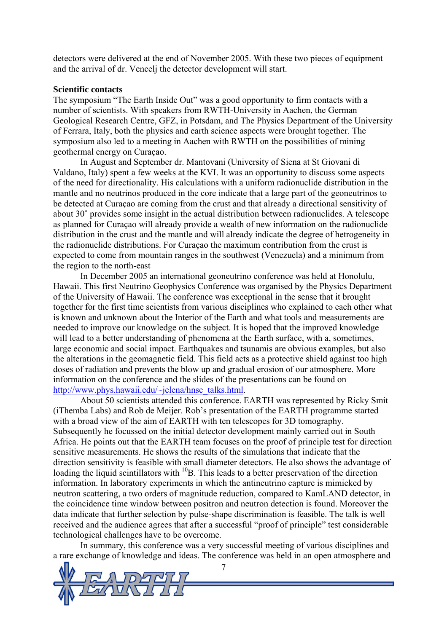detectors were delivered at the end of November 2005. With these two pieces of equipment and the arrival of dr. Vencelj the detector development will start.

#### **Scientific contacts**

The symposium "The Earth Inside Out" was a good opportunity to firm contacts with a number of scientists. With speakers from RWTH-University in Aachen, the German Geological Research Centre, GFZ, in Potsdam, and The Physics Department of the University of Ferrara, Italy, both the physics and earth science aspects were brought together. The symposium also led to a meeting in Aachen with RWTH on the possibilities of mining geothermal energy on Curaçao.

In August and September dr. Mantovani (University of Siena at St Giovani di Valdano, Italy) spent a few weeks at the KVI. It was an opportunity to discuss some aspects of the need for directionality. His calculations with a uniform radionuclide distribution in the mantle and no neutrinos produced in the core indicate that a large part of the geoneutrinos to be detected at Curaçao are coming from the crust and that already a directional sensitivity of about 30˚ provides some insight in the actual distribution between radionuclides. A telescope as planned for Curaçao will already provide a wealth of new information on the radionuclide distribution in the crust and the mantle and will already indicate the degree of hetrogeneity in the radionuclide distributions. For Curaçao the maximum contribution from the crust is expected to come from mountain ranges in the southwest (Venezuela) and a minimum from the region to the north-east

In December 2005 an international geoneutrino conference was held at Honolulu, Hawaii. This first Neutrino Geophysics Conference was organised by the Physics Department of the University of Hawaii. The conference was exceptional in the sense that it brought together for the first time scientists from various disciplines who explained to each other what is known and unknown about the Interior of the Earth and what tools and measurements are needed to improve our knowledge on the subject. It is hoped that the improved knowledge will lead to a better understanding of phenomena at the Earth surface, with a, sometimes, large economic and social impact. Earthquakes and tsunamis are obvious examples, but also the alterations in the geomagnetic field. This field acts as a protective shield against too high doses of radiation and prevents the blow up and gradual erosion of our atmosphere. More information on the conference and the slides of the presentations can be found on [http://www.phys.hawaii.edu/~jelena/hnsc\\_talks.html.](http://www.phys.hawaii.edu/~jelena/hnsc_talks.html)

About 50 scientists attended this conference. EARTH was represented by Ricky Smit (iThemba Labs) and Rob de Meijer. Rob's presentation of the EARTH programme started with a broad view of the aim of EARTH with ten telescopes for 3D tomography. Subsequently he focussed on the initial detector development mainly carried out in South Africa. He points out that the EARTH team focuses on the proof of principle test for direction sensitive measurements. He shows the results of the simulations that indicate that the direction sensitivity is feasible with small diameter detectors. He also shows the advantage of loading the liquid scintillators with  $^{10}B$ . This leads to a better preservation of the direction information. In laboratory experiments in which the antineutrino capture is mimicked by neutron scattering, a two orders of magnitude reduction, compared to KamLAND detector, in the coincidence time window between positron and neutron detection is found. Moreover the data indicate that further selection by pulse-shape discrimination is feasible. The talk is well received and the audience agrees that after a successful "proof of principle" test considerable technological challenges have to be overcome.

In summary, this conference was a very successful meeting of various disciplines and a rare exchange of knowledge and ideas. The conference was held in an open atmosphere and